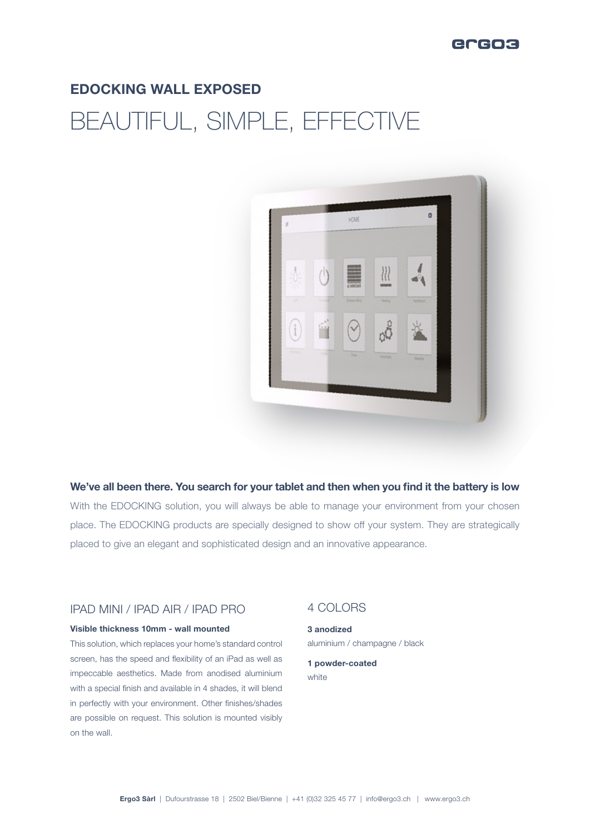## ercos

## EDOCKING WALL EXPOSED BEAUTIFUL, SIMPLE, EFFECTIVE



#### We've all been there. You search for your tablet and then when you find it the battery is low

With the EDOCKING solution, you will always be able to manage your environment from your chosen place. The EDOCKING products are specially designed to show off your system. They are strategically placed to give an elegant and sophisticated design and an innovative appearance.

#### IPAD MINI / IPAD AIR / IPAD PRO

#### Visible thickness 10mm - wall mounted

This solution, which replaces your home's standard control screen, has the speed and flexibility of an iPad as well as impeccable aesthetics. Made from anodised aluminium with a special finish and available in 4 shades, it will blend in perfectly with your environment. Other finishes/shades are possible on request. This solution is mounted visibly on the wall.

### 4 COLORS

3 anodized aluminium / champagne / black

1 powder-coated white